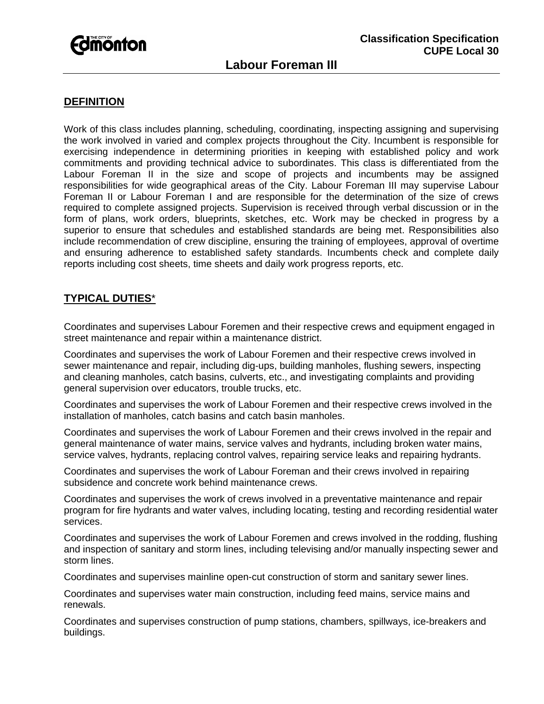# **Fdmonton**

## **Labour Foreman III**

#### **DEFINITION**

Work of this class includes planning, scheduling, coordinating, inspecting assigning and supervising the work involved in varied and complex projects throughout the City. Incumbent is responsible for exercising independence in determining priorities in keeping with established policy and work commitments and providing technical advice to subordinates. This class is differentiated from the Labour Foreman II in the size and scope of projects and incumbents may be assigned responsibilities for wide geographical areas of the City. Labour Foreman III may supervise Labour Foreman II or Labour Foreman I and are responsible for the determination of the size of crews required to complete assigned projects. Supervision is received through verbal discussion or in the form of plans, work orders, blueprints, sketches, etc. Work may be checked in progress by a superior to ensure that schedules and established standards are being met. Responsibilities also include recommendation of crew discipline, ensuring the training of employees, approval of overtime and ensuring adherence to established safety standards. Incumbents check and complete daily reports including cost sheets, time sheets and daily work progress reports, etc.

#### **TYPICAL DUTIES**\*

Coordinates and supervises Labour Foremen and their respective crews and equipment engaged in street maintenance and repair within a maintenance district.

Coordinates and supervises the work of Labour Foremen and their respective crews involved in sewer maintenance and repair, including dig-ups, building manholes, flushing sewers, inspecting and cleaning manholes, catch basins, culverts, etc., and investigating complaints and providing general supervision over educators, trouble trucks, etc.

Coordinates and supervises the work of Labour Foremen and their respective crews involved in the installation of manholes, catch basins and catch basin manholes.

Coordinates and supervises the work of Labour Foremen and their crews involved in the repair and general maintenance of water mains, service valves and hydrants, including broken water mains, service valves, hydrants, replacing control valves, repairing service leaks and repairing hydrants.

Coordinates and supervises the work of Labour Foreman and their crews involved in repairing subsidence and concrete work behind maintenance crews.

Coordinates and supervises the work of crews involved in a preventative maintenance and repair program for fire hydrants and water valves, including locating, testing and recording residential water services.

Coordinates and supervises the work of Labour Foremen and crews involved in the rodding, flushing and inspection of sanitary and storm lines, including televising and/or manually inspecting sewer and storm lines.

Coordinates and supervises mainline open-cut construction of storm and sanitary sewer lines.

Coordinates and supervises water main construction, including feed mains, service mains and renewals.

Coordinates and supervises construction of pump stations, chambers, spillways, ice-breakers and buildings.